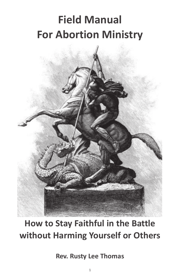# **Field Manual For Abortion Ministry**



## **How to Stay Faithful in the Battle without Harming Yourself or Others**

**Rev. Rusty Lee Thomas**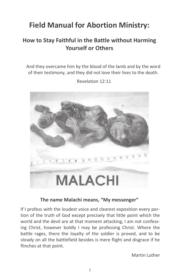## **Field Manual for Abortion Ministry:**

## **How to Stay Faithful in the Battle without Harming Yourself or Others**

And they overcame him by the blood of the lamb and by the word of their testimony, and they did not love their lives to the death.

Revelation 12:11



#### **The name Malachi means, "My messenger"**

If I profess with the loudest voice and clearest exposition every portion of the truth of God except precisely that little point which the world and the devil are at that moment attacking, I am not confessing Christ, however boldly I may be professing Christ. Where the battle rages, there the loyalty of the soldier is proved, and to be steady on all the battlefield besides is mere flight and disgrace if he flinches at that point.

Martin Luther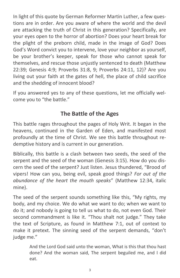In light of this quote by German Reformer Martin Luther, a few questions are in order. Are you aware of where the world and the devil are attacking the truth of Christ in this generation? Specifically, are your eyes open to the horror of abortion? Does your heart break for the plight of the preborn child, made in the image of God? Does God's Word convict you to intervene, love your neighbor as yourself, be your brother's keeper, speak for those who cannot speak for themselves, and rescue those unjustly sentenced to death (Matthew 22:39; Genesis 4:9; Proverbs 31:8, 9; Proverbs 24:11, 12)? Are you living out your faith at the gates of hell, the place of child sacrifice and the shedding of innocent blood?

If you answered yes to any of these questions, let me officially welcome you to "the battle."

## **The Battle of the Ages**

This battle rages throughout the pages of Holy Writ. It began in the heavens, continued in the Garden of Eden, and manifested most profoundly at the time of Christ. We see this battle throughout redemptive history and is current in our generation.

Biblically, this battle is a clash between two seeds, the seed of the serpent and the seed of the woman (Genesis 3:15). How do you discern the seed of the serpent? Just listen. Jesus thundered, "Brood of vipers! How can you, being evil, speak good things? *For out of the abundance of the heart the mouth speaks*" (Matthew 12:34, italic mine).

The seed of the serpent sounds something like this, "My rights, my body, and my choice. We do what we want to do; when we want to do it; and nobody is going to tell us what to do, not even God. Their second commandment is like it. "Thou shalt not judge." They take the text of Scripture, as found in Matthew 7:1, out of context to make it pretext. The sinning seed of the serpent demands, "don't judge me."

> And the Lord God said unto the woman, What is this that thou hast done? And the woman said, The serpent beguiled me, and I did eat.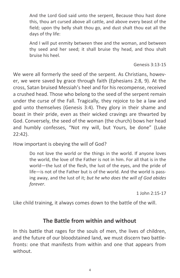And the Lord God said unto the serpent, Because thou hast done this, thou art cursed above all cattle, and above every beast of the field; upon thy belly shalt thou go, and dust shalt thou eat all the days of thy life:

And I will put enmity between thee and the woman, and between thy seed and her seed; it shall bruise thy head, and thou shalt bruise his heel.

Genesis 3:13-15

We were all formerly the seed of the serpent. As Christians, however, we were saved by grace through faith (Ephesians 2:8, 9). At the cross, Satan bruised Messiah's heel and for his recompense, received a crushed head. Those who belong to the seed of the serpent remain under the curse of the Fall. Tragically, they rejoice to be a law and god unto themselves (Genesis 3:4). They glory in their shame and boast in their pride, even as their wicked cravings are thwarted by God. Conversely, the seed of the woman (the church) bows her head and humbly confesses, "Not my will, but Yours, be done" (Luke 22:42).

How important is obeying the will of God?

Do not love the world or the things in the world. If anyone loves the world, the love of the Father is not in him. For all that is in the world―the lust of the flesh, the lust of the eyes, and the pride of life―is not of the Father but is of the world. And the world is passing away, and the lust of it; *but he who does the will of God abides forever*.

1 John 2:15-17

Like child training, it always comes down to the battle of the will.

#### **The Battle from within and without**

In this battle that rages for the souls of men, the lives of children, and the future of our bloodstained land, we must discern two battlefronts: one that manifests from within and one that appears from without.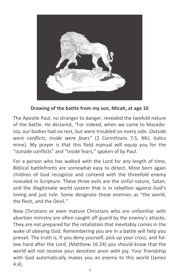

**Drawing of the battle from my son, Micah, at age 10**

The Apostle Paul, no stranger to danger, revealed the twofold nature of the battle. He declared, "For indeed, when we came to Macedonia, our bodies had no rest, but were troubled on every side. *Outside were conflicts, inside were fears"* (2 Corinthians 7:5, NKJ, italics mine). My prayer is that this field manual will equip you for the "outside conflicts" and "inside fears," spoken of by Paul.

For a person who has walked with the Lord for any length of time, Biblical battlefronts are somewhat easy to detect. Most born again children of God recognize and contend with the threefold enemy revealed in Scripture. These three evils are the sinful nature, Satan, and the illegitimate world system that is in rebellion against God's loving and just rule. Some designate these enemies as "the world, the flesh, and the Devil."

New Christians or even mature Christians who are unfamiliar with abortion ministry are often caught off guard by the enemy's attacks. They are not prepared for the retaliation that inevitably comes in the wake of obeying God. Remembering you are in a battle will help you prevail. The truth is, if you deny yourself, pick up your cross, and follow hard after the Lord, (Matthew 16:24) you should know that the world will not receive your devotion anon with joy. Your friendship with God automatically makes you an enemy to this world (James 4:4).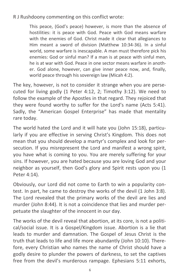R J Rushdoony commenting on this conflict wrote:

This peace, (God's peace) however, is more than the absence of hostilities: it is peace with God. Peace with God means warfare with the enemies of God. Christ made it clear that allegiances to Him meant a sword of division (Matthew 10:34-36). In a sinful world, some warfare is inescapable. A man must therefore pick his enemies: God or sinful man? If a man is at peace with sinful men, he is at war with God. Peace in one sector means warfare in another. God alone, however, can give inner peace now, and, finally, world peace through his sovereign law (Micah 4:2).

The key, however, is not to consider it strange when you are persecuted for living godly (1 Peter 4:12, 2; Timothy 3:12). We need to follow the example of the Apostles in that regard. They rejoiced that they were found worthy to suffer for the Lord's name (Acts 5:41). Sadly, the "American Gospel Enterprise" has made that mentality rare today.

The world hated the Lord and it will hate you (John 15:18), particularly if you are effective in serving Christ's Kingdom. This does not mean that you should develop a martyr's complex and look for persecution. If you misrepresent the Lord and manifest a wrong spirit, you have what is coming to you. You are merely suffering for your sins. If however, you are hated because you are loving God and your neighbor as yourself, then God's glory and Spirit rests upon you (1 Peter 4:14).

Obviously, our Lord did not come to Earth to win a popularity contest. In part, he came to destroy the works of the devil (1 John 3:8). The Lord revealed that the primary works of the devil are lies and murder (John 8:44). It is not a coincidence that lies and murder perpetuate the slaughter of the innocent in our day.

The works of the devil reveal that abortion, at its core, is not a political/social issue. It is a Gospel/Kingdom issue. Abortion is a lie that leads to murder and damnation. The Gospel of Jesus Christ is the truth that leads to life and life more abundantly (John 10:10). Therefore, every Christian who names the name of Christ should have a godly desire to plunder the powers of darkness, to set the captives free from the devil's murderous rampage. Ephesians 5:11 exhorts,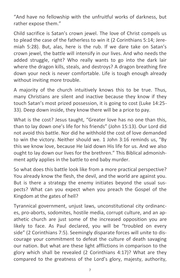"And have no fellowship with the unfruitful works of darkness, but rather expose them."

Child sacrifice is Satan's crown jewel. The love of Christ compels us to plead the case of the fatherless to win it (2 Corinthians 5:14; Jeremiah 5:28). But, alas, here is the rub. If we dare take on Satan's crown jewel, the battle will intensify in our lives. And who needs the added struggle, right? Who really wants to go into the dark lair where the dragon kills, steals, and destroys? A dragon breathing fire down your neck is never comfortable. Life is tough enough already without inviting more trouble.

A majority of the church intuitively knows this to be true. Thus, many Christians are silent and inactive because they know if they touch Satan's most prized possession, it is going to cost (Luke 14:25- 33). Deep down inside, they know there will be a price to pay.

What is the cost? Jesus taught, "Greater love has no one than this, than to lay down one's life for his friends" (John 15:13). Our Lord did not avoid this battle. Nor did he withhold the cost of love demanded to win the victory. Neither should we. 1 John 3:16 reminds us, "By this we know love, because He laid down His life for us. And we also ought to lay down our lives for the brethren." This Biblical admonishment aptly applies in the battle to end baby murder.

So what does this battle look like from a more practical perspective? You already know the flesh, the devil, and the world are against you. But is there a strategy the enemy initiates beyond the usual suspects? What can you expect when you preach the Gospel of the Kingdom at the gates of hell?

Tyrannical government, unjust laws, unconstitutional city ordinances, pro-aborts, sodomites, hostile media, corrupt culture, and an apathetic church are just some of the increased opposition you are likely to face. As Paul declared, you will be "troubled on every side" (2 Corinthians 7:5). Seemingly disparate forces will unite to discourage your commitment to defeat the culture of death savaging our nation. But what are these light afflictions in comparison to the glory which shall be revealed (2 Corinthians 4:17)? What are they compared to the greatness of the Lord's glory, majesty, authority,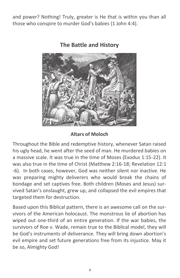and power? Nothing! Truly, greater is He that is within you than all those who conspire to murder God's babies (1 John 4:4).



**The Battle and History**

#### **Altars of Moloch**

Throughout the Bible and redemptive history, whenever Satan raised his ugly head, he went after the seed of man. He murdered babies on a massive scale. It was true in the time of Moses (Exodus 1:15-22). It was also true in the time of Christ (Matthew 2:16-18; Revelation 12:1 -6). In both cases, however, God was neither silent nor inactive. He was preparing mighty deliverers who would break the chains of bondage and set captives free. Both children (Moses and Jesus) survived Satan's onslaught, grew up, and collapsed the evil empires that targeted them for destruction.

Based upon this Biblical pattern, there is an awesome call on the survivors of the American holocaust. The monstrous lie of abortion has wiped out one-third of an entire generation. If the war babies, the survivors of Roe v. Wade, remain true to the Biblical model, they will be God's instruments of deliverance. They will bring down abortion's evil empire and set future generations free from its injustice. May it be so, Almighty God!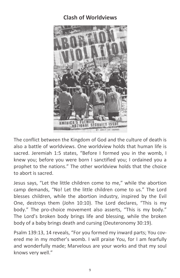## **Clash of Worldviews**



The conflict between the Kingdom of God and the culture of death is also a battle of worldviews. One worldview holds that human life is sacred. Jeremiah 1:5 states, "Before I formed you in the womb, I knew you; before you were born I sanctified you; I ordained you a prophet to the nations." The other worldview holds that the choice to abort is sacred.

Jesus says, "Let the little children come to me," while the abortion camp demands, "No! Let the little children come to us." The Lord blesses children, while the abortion industry, inspired by the Evil One, destroys them (John 10:10). The Lord declares, "This is my body." The pro-choice movement also asserts, "This is my body." The Lord's broken body brings life and blessing, while the broken body of a baby brings death and cursing (Deuteronomy 30:19).

Psalm 139:13, 14 reveals, "For you formed my inward parts; You covered me in my mother's womb. I will praise You, for I am fearfully and wonderfully made; Marvelous are your works and that my soul knows very well."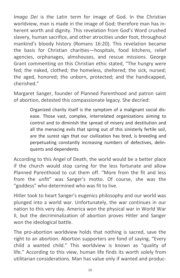*Imago Dei* is the Latin term for image of God. In the Christian worldview, man is made in the image of God; therefore man has inherent worth and dignity. This revelation from God's Word crushed slavery, human sacrifice, and other atrocities under foot, throughout mankind's bloody history (Romans 16:20). This revelation became the basis for Christian charities—hospitals, food kitchens, relief agencies, orphanages, almshouses, and rescue missions. George Grant commenting on this Christian ethic stated, "The hungry were fed; the naked, clothed; the homeless, sheltered; the sick, nursed; the aged, honored; the unborn, protected; and the handicapped, cherished."

Margaret Sanger, founder of Planned Parenthood and patron saint of abortion, detested this compassionate legacy. She decried:

> Organized charity itself is the symptom of a malignant social disease. Those vast, complex, interrelated organizations aiming to control and to diminish the spread of misery and destitution and all the menacing evils that spring out of this sinisterly fertile soil, are the surest sign that our civilization has bred, is breeding and perpetuating constantly increasing numbers of defectives, delinquents and dependents.

According to this Angel of Death, the world would be a better place if the church would stop caring for the less fortunate and allow Planned Parenthood to cut them off. "More from the fit and less from the unfit" was Sanger's motto. Of course, she was the "goddess" who determined who was fit to live.

Hitler took to heart Sanger's eugenics philosophy and our world was plunged into a world war. Unfortunately, the war continues in our nation to this very day. America won the physical war in World War II, but the decriminalization of abortion proves Hitler and Sanger won the ideological battle.

The pro-abortion worldview holds that nothing is sacred, save the right to an abortion. Abortion supporters are fond of saying, "Every child a wanted child." This worldview is known as "quality of life." According to this view, human life finds its worth solely from utilitarian considerations. Man has value only if wanted and produc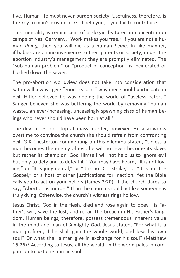tive. Human life must never burden society. Usefulness, therefore, is the key to man's existence. God help you, if you fail to contribute.

This mentality is reminiscent of a slogan featured in concentration camps of Nazi Germany, "Work makes you free." If you are not a human *doing,* then you will die as a human *being*. In like manner, if babies are an inconvenience to their parents or society, under the abortion industry's management they are promptly eliminated. The "sub-human problem" or "product of conception" is incinerated or flushed down the sewer.

The pro-abortion worldview does not take into consideration that Satan will always give "good reasons" why men should participate in evil. Hitler believed he was ridding the world of "useless eaters." Sanger believed she was bettering the world by removing "human waste…an ever-increasing, unceasingly spawning class of human beings who never should have been born at all."

The devil does not stop at mass murder, however. He also works overtime to convince the church she should refrain from confronting evil. G K Chesterton commenting on this dilemma stated, "Unless a man becomes the enemy of evil, he will not even become its slave, but rather its champion. God Himself will not help us to ignore evil but only to defy and to defeat it!" You may have heard, "It is not loving," or "It is judgmental," or "It is not Christ-like," or "It is not the Gospel," or a host of other justifications for inaction. Yet the Bible calls you to act on your beliefs (James 2:20). If the church dares to say, "Abortion is murder" than the church should act like someone is truly dying. Otherwise, the church's witness rings hollow.

Jesus Christ, God in the flesh, died and rose again to obey His Father's will, save the lost, and repair the breach in His Father's Kingdom. Human beings, therefore, possess tremendous inherent value in the mind and plan of Almighty God. Jesus stated, "For what is a man profited, if he shall gain the whole world, and lose his own soul? Or what shall a man give in exchange for his soul" (Matthew 16:26)? According to Jesus, all the wealth in the world pales in comparison to just one human soul.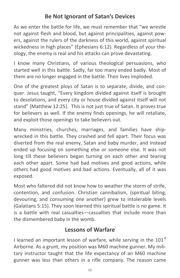## **Be Not Ignorant of Satan's Devices**

As we enter the battle for life, we must remember that "we wrestle not against flesh and blood, but against principalities, against powers, against the rulers of the darkness of this world, against spiritual wickedness in high places" (Ephesians 6:12). Regardless of your theology, the enemy is real and his attacks can prove devastating.

I know many Christians, of various theological persuasions, who started well in this battle. Sadly, far too many ended badly. Most of them are no longer engaged in the battle. Their lives imploded.

One of the greatest ploys of Satan is to separate, divide, and conquer. Jesus taught, "Every kingdom divided against itself is brought to desolations, and every city or house divided against itself will not stand" (Matthew 12:25). This is not just true of Satan. It proves true for believers as well. If the enemy finds openings, he will retaliate, and exploit those openings to take believers out.

Many ministries, churches, marriages, and families have shipwrecked in this battle. They crashed and fell apart. Their focus was diverted from the real enemy, Satan and baby murder, and instead ended up focusing on something else or someone else. It was not long till these believers began turning on each other and tearing each other apart. Some had bad motives and good actions, while others had good motives and bad actions. Eventually, all of it was exposed.

Most who faltered did not know how to weather the storm of strife, contention, and confusion. Christian cannibalism, (spiritual biting, devouring, and consuming one another) grew to intolerable levels (Galatians 5:15). They soon learned this spiritual battle is no game. It is a battle with real casualties—casualties that include more than the dismembered baby in the womb.

#### **Lessons of Warfare**

I learned an important lesson of warfare, while serving in the  $101<sup>st</sup>$ Airborne. As a grunt, my position was M60 machine gunner. My military instructor taught that the life expectancy of an M60 machine gunner was less than others in a rifle company. The reason came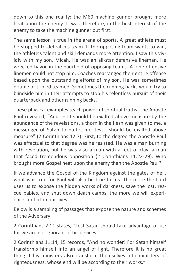down to this one reality: the M60 machine gunner brought more heat upon the enemy. It was, therefore, in the best interest of the enemy to take the machine gunner out first.

The same lesson is true in the arena of sports. A great athlete must be stopped to defeat his team. If the opposing team wants to win, the athlete's talent and skill demands more attention. I saw this vividly with my son, Micah. He was an all-star defensive lineman. He wrecked havoc in the backfield of opposing teams. A lone offensive linemen could not stop him. Coaches rearranged their entire offense based upon the outstanding efforts of my son. He was sometimes double or tripled teamed. Sometimes the running backs would try to blindside him in their attempts to stop his relentless pursuit of their quarterback and other running backs.

These physical examples teach powerful spiritual truths. The Apostle Paul revealed, "And lest I should be exalted above measure by the abundance of the revelations, a thorn in the flesh was given to me, a messenger of Satan to buffet me, lest I should be exalted above measure" (2 Corinthians 12:7). First, to the degree the Apostle Paul was effectual to that degree was he resisted. He was a man burning with revelation, but he was also a man with a feet of clay, a man that faced tremendous opposition (2 Corinthians 11:22-29). Who brought more Gospel heat upon the enemy than the Apostle Paul?

If we advance the Gospel of the Kingdom against the gates of hell, what was true for Paul will also be true for us. The more the Lord uses us to expose the hidden works of darkness, save the lost, rescue babies, and shut down death camps, the more we will experience conflict in our lives.

Below is a sampling of passages that expose the nature and schemes of the Adversary.

2 Corinthians 2:11 states, "Lest Satan should take advantage of us: for we are not ignorant of his devices."

2 Corinthians 11:14, 15 records, "And no wonder! For Satan himself transforms himself into an angel of light. Therefore it is no great thing if his ministers also transform themselves into ministers of righteousness, whose end will be according to their works."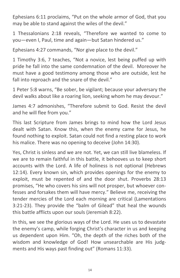Ephesians 6:11 proclaims, "Put on the whole armor of God, that you may be able to stand against the wiles of the devil."

1 Thessalonians 2:18 reveals, "Therefore we wanted to come to you―even I, Paul, time and again―but Satan hindered us."

Ephesians 4:27 commands, "Nor give place to the devil."

1 Timothy 3:6, 7 teaches, "Not a novice, lest being puffed up with pride he fall into the same condemnation of the devil. Moreover he must have a good testimony among those who are outside, lest he fall into reproach and the snare of the devil."

1 Peter 5:8 warns, "Be sober, be vigilant; because your adversary the devil walks about like a roaring lion, seeking whom he may devour."

James 4:7 admonishes, "Therefore submit to God. Resist the devil and he will flee from you."

This last Scripture from James brings to mind how the Lord Jesus dealt with Satan. Know this, when the enemy came for Jesus, he found nothing to exploit. Satan could not find a resting place to work his malice. There was no opening to deceive (John 14:30).

Yes, Christ is sinless and we are not. Yet, we can still live blameless. If we are to remain faithful in this battle, it behooves us to keep short accounts with the Lord. A life of holiness is not optional (Hebrews 12:14). Every known sin, which provides openings for the enemy to exploit, must be repented of and the door shut. Proverbs 28:13 promises, "He who covers his sins will not prosper, but whoever confesses and forsakes them will have mercy." Believe me, receiving the tender mercies of the Lord each morning are critical (Lamentations 3:21-23). They provide the "balm of Gilead" that heal the wounds this battle afflicts upon our souls (Jeremiah 8:22).

In this, we see the glorious ways of the Lord. He uses us to devastate the enemy's camp, while forging Christ's character in us and keeping us dependent upon Him. "Oh, the depth of the riches both of the wisdom and knowledge of God! How unsearchable are His judgments and His ways past finding out" (Romans 11:33).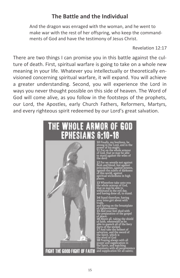## **The Battle and the Individual**

And the dragon was enraged with the woman, and he went to make war with the rest of her offspring, who keep the commandments of God and have the testimony of Jesus Christ.

Revelation 12:17

There are two things I can promise you in this battle against the culture of death. First, spiritual warfare is going to take on a whole new meaning in your life. Whatever you intellectually or theoretically envisioned concerning spiritual warfare, it will expand. You will achieve a greater understanding. Second, you will experience the Lord in ways you never thought possible on this side of heaven. The Word of God will come alive, as you follow in the footsteps of the prophets, our Lord, the Apostles, early Church Fathers, Reformers, Martyrs, and every righteous spirit redeemed by our Lord's great salvation.

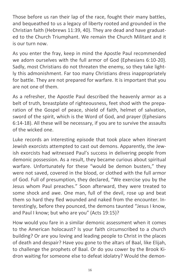Those before us ran their lap of the race, fought their many battles, and bequeathed to us a legacy of liberty rooted and grounded in the Christian faith (Hebrews 11:39, 40). They are dead and have graduated to the Church Triumphant. We remain the Church Militant and it is our turn now.

As you enter the fray, keep in mind the Apostle Paul recommended we adorn ourselves with the full armor of God (Ephesians 6:10-20). Sadly, most Christians do not threaten the enemy, so they take lightly this admonishment. Far too many Christians dress inappropriately for battle. They are not prepared for warfare. It is important that you are not one of them.

As a refresher, the Apostle Paul described the heavenly armor as a belt of truth, breastplate of righteousness, feet shod with the preparation of the Gospel of peace, shield of faith, helmet of salvation, sword of the spirit, which is the Word of God, and prayer (Ephesians 6:14-18). All these will be necessary, if you are to survive the assaults of the wicked one.

Luke records an interesting episode that took place when itinerant Jewish exorcists attempted to cast out demons. Apparently, the Jewish exorcists had witnessed Paul's success in delivering people from demonic possession. As a result, they became curious about spiritual warfare. Unfortunately for these "would be demon busters," they were not saved, covered in the blood, or clothed with the full armor of God. Full of presumption, they declared, "We exercise you by the Jesus whom Paul preaches." Soon afterward, they were treated to some shock and awe. One man, full of the devil, rose up and beat them so hard they fled wounded and naked from the encounter. Interestingly, before they pounced, the demons taunted "Jesus I know, and Paul I know; but who are you" (Acts 19:15)?

How would you fare in a similar demonic assessment when it comes to the American holocaust? Is your faith circumscribed to a church building? Or are you loving and leading people to Christ in the places of death and despair? Have you gone to the altars of Baal, like Elijah, to challenge the prophets of Baal. Or do you cower by the Brook Kidron waiting for someone else to defeat idolatry? Would the demon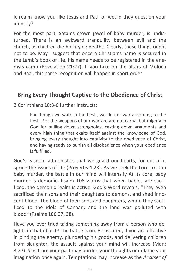ic realm know you like Jesus and Paul or would they question your identity?

For the most part, Satan's crown jewel of baby murder, is undisturbed. There is an awkward tranquility between evil and the church, as children die horrifying deaths. Clearly, these things ought not to be. May I suggest that once a Christian's name is secured in the Lamb's book of life, his name needs to be registered in the enemy's camp (Revelation 21:27). If you take on the altars of Moloch and Baal, this name recognition will happen in short order.

## **Bring Every Thought Captive to the Obedience of Christ**

2 Corinthians 10:3-6 further instructs:

For though we walk in the flesh, we do not war according to the flesh. For the weapons of our warfare are not carnal but mighty in God for pulling down strongholds, casting down arguments and every high thing that exalts itself against the knowledge of God, bringing every thought into captivity to the obedience of Christ, and having ready to punish all disobedience when your obedience is fulfilled.

God's wisdom admonishes that we guard our hearts, for out of it spring the issues of life (Proverbs 4:23). As we seek the Lord to stop baby murder, the battle in our mind will intensify At its core, baby murder is demonic. Psalm 106 warns that when babies are sacrificed, the demonic realm is active. God's Word reveals, "They even sacrificed their sons and their daughters to demons, and shed innocent blood, The blood of their sons and daughters, whom they sacrificed to the idols of Canaan; and the land was polluted with blood" (Psalms 106:37, 38).

Have you ever tried taking something away from a person who delights in that object? The battle is on. Be assured, if you are effective in binding the enemy, plundering his goods, and delivering children from slaughter, the assault against your mind will increase (Mark 3:27). Sins from your past may burden your thoughts or inflame your imagination once again. Temptations may increase as the *Accuser of*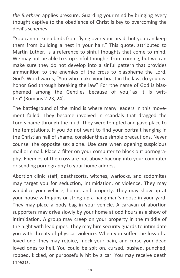*the Brethren* applies pressure. Guarding your mind by bringing every thought captive to the obedience of Christ is key to overcoming the devil's schemes.

"You cannot keep birds from flying over your head, but you can keep them from building a nest in your hair." This quote, attributed to Martin Luther, is a reference to sinful thoughts that come to mind. We may not be able to stop sinful thoughts from coming, but we can make sure they do not develop into a sinful pattern that provides ammunition to the enemies of the cross to blaspheme the Lord. God's Word warns, "You who make your boast in the law, do you dishonor God through breaking the law? For 'the name of God is blasphemed among the Gentiles because of you,' as it is written" (Romans 2:23, 24).

The battleground of the mind is where many leaders in this movement failed. They became involved in scandals that dragged the Lord's name through the mud. They were tempted and gave place to the temptations. If you do not want to find your portrait hanging in the Christian hall of shame, consider these simple precautions. Never counsel the opposite sex alone. Use care when opening suspicious mail or email. Place a filter on your computer to block out pornography. Enemies of the cross are not above hacking into your computer or sending pornography to your home address.

Abortion clinic staff, deathscorts, witches, warlocks, and sodomites may target you for seduction, intimidation, or violence. They may vandalize your vehicle, home, and property. They may show up at your house with guns or string up a hang man's noose in your yard. They may place a body bag in your vehicle. A caravan of abortion supporters may drive slowly by your home at odd hours as a show of intimidation. A group may creep on your property in the middle of the night with lead pipes. They may hire security guards to intimidate you with threats of physical violence. When you suffer the loss of a loved one, they may rejoice, mock your pain, and curse your dead loved ones to hell. You could be spit on, cursed, pushed, punched, robbed, kicked, or purposefully hit by a car. You may receive death threats.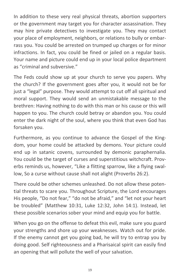In addition to these very real physical threats, abortion supporters or the government may target you for character assassination. They may hire private detectives to investigate you. They may contact your place of employment, neighbors, or relations to bully or embarrass you. You could be arrested on trumped up charges or for minor infractions. In fact, you could be fined or jailed on a regular basis. Your name and picture could end up in your local police department as "criminal and subversive."

The Feds could show up at your church to serve you papers. Why the church? If the government goes after you, it would not be for just a "legal" purpose. They would attempt to cut off all spiritual and moral support. They would send an unmistakable message to the brethren: Having nothing to do with this man or his cause or this will happen to you. The church could betray or abandon you. You could enter the dark night of the soul, where you think that even God has forsaken you.

Furthermore, as you continue to advance the Gospel of the Kingdom, your home could be attacked by demons. Your picture could end up in satanic covens, surrounded by demonic paraphernalia. You could be the target of curses and superstitious witchcraft. Proverbs reminds us, however, "Like a flitting sparrow, like a flying swallow, So a curse without cause shall not alight (Proverbs 26:2).

There could be other schemes unleashed. Do not allow these potential threats to scare you. Throughout Scripture, the Lord encourages His people, "Do not fear," "do not be afraid," and "let not your heart be troubled" (Matthew 10:31, Luke 12:32, John 14:1). Instead, let these possible scenarios sober your mind and equip you for battle.

When you go on the offense to defeat this evil, make sure you guard your strengths and shore up your weaknesses. Watch out for pride. If the enemy cannot get you going bad, he will try to entrap you by doing good. Self righteousness and a Pharisaical spirit can easily find an opening that will pollute the well of your salvation.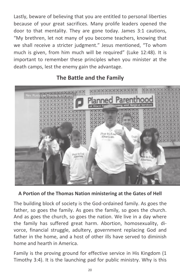Lastly, beware of believing that you are entitled to personal liberties because of your great sacrifices. Many prolife leaders opened the door to that mentality. They are gone today. James 3:1 cautions, "My brethren, let not many of you become teachers, knowing that we shall receive a stricter judgment." Jesus mentioned, "To whom much is given, from him much will be required" (Luke 12:48). It is important to remember these principles when you minister at the death camps, lest the enemy gain the advantage.



### **The Battle and the Family**

#### **A Portion of the Thomas Nation ministering at the Gates of Hell**

The building block of society is the God-ordained family. As goes the father, so goes the family. As goes the family, so goes the church. And as goes the church, so goes the nation. We live in a day where the family has suffered great harm. Abortion, homosexuality, divorce, financial struggle, adultery, government replacing God and father in the home, and a host of other ills have served to diminish home and hearth in America.

Family is the proving ground for effective service in His Kingdom (1 Timothy 3:4). It is the launching pad for public ministry. Why is this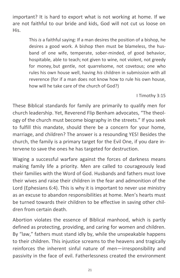important? It is hard to export what is not working at home. If we are not faithful to our bride and kids, God will not cut us loose on His.

> This *is* a faithful saying: If a man desires the position of a bishop, he desires a good work. A bishop then must be blameless, the husband of one wife, temperate, sober-minded, of good behavior, hospitable, able to teach; not given to wine, not violent, not greedy for money, but gentle, not quarrelsome, not covetous; one who rules his own house well, having *his* children in submission with all reverence (for if a man does not know how to rule his own house, how will he take care of the church of God?)

#### I Timothy 3:15

These Biblical standards for family are primarily to qualify men for church leadership. Yet, Reverend Flip Benham advocates, "The theology of the church must become biography in the streets." If you seek to fulfill this mandate, should there be a concern for your home, marriage, and children? The answer is a resounding YES! Besides the church, the family is a primary target for the Evil One, if you dare intervene to save the ones he has targeted for destruction.

Waging a successful warfare against the forces of darkness means making family life a priority. Men are called to courageously lead their families with the Word of God. Husbands and fathers must love their wives and raise their children in the fear and admonition of the Lord (Ephesians 6:4). This is why it is important to never use ministry as an excuse to abandon responsibilities at home. Men's hearts must be turned towards their children to be effective in saving other children from certain death.

Abortion violates the essence of Biblical manhood, which is partly defined as protecting, providing, and caring for women and children. By "law," fathers must stand idly by, while the unspeakable happens to their children. This injustice screams to the heavens and tragically reinforces the inherent sinful nature of men—irresponsibility and passivity in the face of evil. Fatherlessness created the environment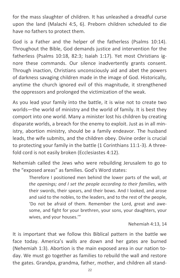for the mass slaughter of children. It has unleashed a dreadful curse upon the land (Malachi 4:5, 6). Preborn children scheduled to die have no fathers to protect them.

God is a Father and the helper of the fatherless (Psalms 10:14). Throughout the Bible, God demands justice and intervention for the fatherless (Psalms 10:18, 82:3; Isaiah 1:17). Yet most Christians ignore these commands. Our silence inadvertently grants consent. Through inaction, Christians unconsciously aid and abet the powers of darkness savaging children made in the image of God. Historically, anytime the church ignored evil of this magnitude, it strengthened the oppressors and prolonged the victimization of the weak.

As you lead your family into the battle, it is wise not to create two worlds—the world of ministry and the world of family. It is best they comport into one world. Many a minister lost his children by creating disparate worlds, a breach for the enemy to exploit. Just as in all ministry, abortion ministry, should be a family endeavor. The husband leads, the wife submits, and the children obey. Divine order is crucial to protecting your family in the battle (1 Corinthians 11:1-3). A threefold cord is not easily broken (Ecclesiastes 4:12).

Nehemiah called the Jews who were rebuilding Jerusalem to go to the "exposed areas" as families. God's Word states:

> Therefore I positioned men behind the lower parts of the wall, *at the openings; and I set the people according to their families,* with their swords, their spears, and their bows. And I looked, and arose and said to the nobles, to the leaders, and to the rest of the people, 'Do not be afraid of them. Remember the Lord, great and awesome, and fight for your brethren, your sons, your daughters, your wives, and your houses.'"

> > Nehemiah 4:13, 14

It is important that we follow this Biblical pattern in the battle we face today. America's walls are down and her gates are burned (Nehemiah 1:3). Abortion is the main exposed area in our nation today. We must go together as families to rebuild the wall and restore the gates. Grandpa, grandma, father, mother, and children all stand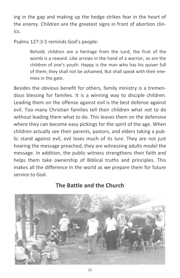ing in the gap and making up the hedge strikes fear in the heart of the enemy. Children are the greatest signs in front of abortion clinics.

Psalms 127:3-5 reminds God's people:

Behold, children are a heritage from the Lord, the fruit of the womb is a reward. Like arrows in the hand of a warrior, so are the children of one's youth. Happy is the man who has his quiver full of them; they shall not be ashamed, But shall speak with their enemies in the gate.

Besides the obvious benefit for others, family ministry is a tremendous blessing for families. It is a winning way to disciple children. Leading them on the offense against evil is the best defense against evil. Too many Christian families tell their children what *not* to do without leading them what *to* do. This leaves them on the defensive where they can become easy pickings for the spirit of the age. When children actually see their parents, pastors, and elders taking a public stand against evil, evil loses much of its lure. They are not just hearing the message preached, they are witnessing adults model the message. In addition, the public witness strengthens their faith and helps them take ownership of Biblical truths and principles. This makes all the difference in the world as we prepare them for future service to God.



### **The Battle and the Church**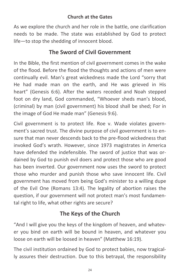#### **Church at the Gates**

As we explore the church and her role in the battle, one clarification needs to be made. The state was established by God to protect life—to stop the shedding of innocent blood.

## **The Sword of Civil Government**

In the Bible, the first mention of civil government comes in the wake of the flood. Before the flood the thoughts and actions of men were continually evil. Man's great wickedness made the Lord "sorry that He had made man on the earth, and He was grieved in His heart" (Genesis 6:6). After the waters receded and Noah stepped foot on dry land, God commanded, "Whoever sheds man's blood, (criminal) by man (civil government) his blood shall be shed; For in the image of God He made man" (Genesis 9:6).

Civil government is to protect life. Roe v. Wade violates government's sacred trust. The divine purpose of civil government is to ensure that man never descends back to the pre-flood wickedness that invoked God's wrath. However, since 1973 magistrates in America have defended the indefensible. The sword of justice that was ordained by God to punish evil doers and protect those who are good has been inverted. Our government now uses the sword to protect those who murder and punish those who save innocent life. Civil government has moved from being God's minister to a willing dupe of the Evil One (Romans 13:4). The legality of abortion raises the question, if our government will not protect man's most fundamental right to life, what other rights are secure?

## **The Keys of the Church**

"And I will give you the keys of the kingdom of heaven, and whatever you bind on earth will be bound in heaven, and whatever you loose on earth will be loosed in heaven" (Matthew 16:19).

The civil institution ordained by God to protect babies, now tragically assures their destruction. Due to this betrayal, the responsibility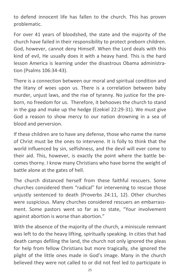to defend innocent life has fallen to the church. This has proven problematic.

For over 41 years of bloodshed, the state and the majority of the church have failed in their responsibility to protect preborn children. God, however, cannot deny Himself. When the Lord deals with this kind of evil, He usually does it with a heavy hand. This is the hard lesson America is learning under the disastrous Obama administration (Psalms 106:34-43).

There is a connection between our moral and spiritual condition and the litany of woes upon us. There is a correlation between baby murder, unjust laws, and the rise of tyranny. No justice for the preborn, no freedom for us. Therefore, it behooves the church to stand in the gap and make up the hedge (Ezekiel 22:29-31). We must give God a reason to show mercy to our nation drowning in a sea of blood and perversion.

If these children are to have any defense, those who name the name of Christ must be the ones to intervene. It is folly to think that the world influenced by sin, selfishness, and the devil will ever come to their aid. This, however, is exactly the point where the battle becomes thorny. I know many Christians who have borne the weight of battle alone at the gates of hell.

The church distanced herself from these faithful rescuers. Some churches considered them "radical" for intervening to rescue those unjustly sentenced to death (Proverbs 24:11, 12). Other churches were suspicious. Many churches considered rescuers an embarrassment. Some pastors went so far as to state, "Your involvement against abortion is worse than abortion."

With the absence of the majority of the church, a miniscule remnant was left to do the heavy lifting, spiritually speaking. In cities that had death camps defiling the land, the church not only ignored the pleas for help from fellow Christians but more tragically, she ignored the plight of the little ones made in God's image. Many in the church believed they were not called to or did not feel led to participate in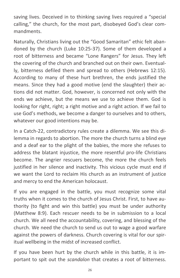saving lives. Deceived in to thinking saving lives required a "special calling," the church, for the most part, disobeyed God's clear commandments.

Naturally, Christians living out the "Good Samaritan" ethic felt abandoned by the church (Luke 10:25-37). Some of them developed a root of bitterness and became "Lone Rangers" for Jesus. They left the covering of the church and branched out on their own. Eventually, bitterness defiled them and spread to others (Hebrews 12:15). According to many of these hurt brethren, the ends justified the means. Since they had a good motive (end the slaughter) their actions did not matter. God, however, is concerned not only with the ends we achieve, but the means we use to achieve them. God is looking for right, right; a right motive and a right action. If we fail to use God's methods, we become a danger to ourselves and to others, whatever our good intentions may be.

In a Catch-22, contradictory rules create a dilemma. We see this dilemma in regards to abortion. The more the church turns a blind eye and a deaf ear to the plight of the babies, the more she refuses to address the blatant injustice, the more resentful pro-life Christians become. The angrier rescuers become, the more the church feels justified in her silence and inactivity. This vicious cycle must end if we want the Lord to reclaim His church as an instrument of justice and mercy to end the American holocaust.

If you are engaged in the battle, you must recognize some vital truths when it comes to the church of Jesus Christ. First, to have authority (to fight and win this battle) you must be under authority (Matthew 8:9). Each rescuer needs to be in submission to a local church. We all need the accountability, covering, and blessing of the church. We need the church to send us out to wage a good warfare against the powers of darkness. Church covering is vital for our spiritual wellbeing in the midst of increased conflict.

If you have been hurt by the church while in this battle, it is important to spit out the *scandalon* that creates a root of bitterness.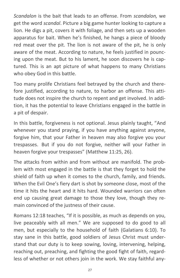*Scandalon* is the bait that leads to an offense. From *scandalon,* we get the word *scandal*. Picture a big game hunter looking to capture a lion. He digs a pit, covers it with foliage, and then sets up a wooden apparatus for bait. When he's finished, he hangs a piece of bloody red meat over the pit. The lion is not aware of the pit, he is only aware of the meat. According to nature, he feels justified in pouncing upon the meat. But to his lament, he soon discovers he is captured. This is an apt picture of what happens to many Christians who obey God in this battle.

Too many prolife Christians feel betrayed by the church and therefore justified, according to nature, to harbor an offense. This attitude does not inspire the church to repent and get involved. In addition, it has the potential to leave Christians engaged in the battle in a pit of despair.

In this battle, forgiveness is not optional. Jesus plainly taught, "And whenever you stand praying, if you have anything against anyone, forgive him, that your Father in heaven may also forgive you your trespasses. But if you do not forgive, neither will your Father in heaven forgive your trespasses" (Matthew 11:25, 26).

The attacks from within and from without are manifold. The problem with most engaged in the battle is that they forget to hold the shield of faith up when it comes to the church, family, and friends. When the Evil One's fiery dart is shot by someone close, most of the time it hits the heart and it hits hard. Wounded warriors can often end up causing great damage to those they love, though they remain convinced of the justness of their cause.

Romans 12:18 teaches, "If it is possible, as much as depends on you, live peaceably with all men." We are supposed to do good to all men, but especially to the household of faith (Galatians 6:10). To stay sane in this battle, good soldiers of Jesus Christ must understand that our duty is to keep sowing, loving, intervening, helping, reaching out, preaching, and fighting the good fight of faith, regardless of whether or not others join in the work. We stay faithful any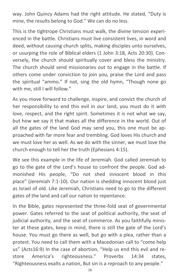way. John Quincy Adams had the right attitude. He stated, "Duty is mine, the results belong to God." We can do no less.

This is the tightrope Christians must walk, the divine tension experienced in the battle. Christians must live consistent lives, in word and deed, without causing church splits, making disciples unto ourselves, or usurping the role of Biblical elders (1 John 3:18, Acts 20:30). Conversely, the church should spiritually cover and bless the ministry. The church should send missionaries out to engage in the battle. If others come under conviction to join you, praise the Lord and pass the spiritual "ammo." If not, sing the old hymn, "Though none go with me, still I will follow."

As you move forward to challenge, inspire, and convict the church of her responsibility to end this evil in our land, you must do it with love, respect, and the right spirit. Sometimes it is not what we say, but how we say it that makes all the difference in the world. Out of all the gates of the land God may send you, this one must be approached with far more fear and trembling. God loves His church and we must love her as well. As we do with the sinner, we must love the church enough to tell her the truth (Ephesians 4:15).

We see this example in the life of Jeremiah. God called Jeremiah to go to the gate of the Lord's house to confront the people. God admonished His people, "Do not shed innocent blood in this place" (Jeremiah 7:1-10). Our nation is shedding innocent blood just as Israel of old. Like Jeremiah, Christians need to go to the different gates of the land and call our nation to repentance.

In the Bible, gates represented the three-fold seat of governmental power. Gates referred to the seat of political authority, the seat of judicial authority, and the seat of commerce. As you faithfully minister at these gates, keep in mind, there is still the gate of the Lord's house. You must go there as well, but go with a plea, rather than a protest. You need to call them with a Macedonian call to "come help us" (Acts16:9) In the case of abortion, "Help us end this evil and restore America's righteousness." Proverbs 14:34 states, "Righteousness exalts a nation, But sin is a reproach to any people."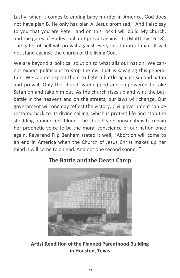Lastly, when it comes to ending baby murder in America, God does not have plan B. He only has plan A. Jesus promised, "And I also say to you that you are Peter, and on this rock I will build My church, and the gates of Hades shall not prevail against it" (Matthew 16:18). The gates of hell will prevail against every institution of man. It will not stand against the church of the living God.

We are beyond a political solution to what ails our nation. We cannot expect politicians to stop the evil that is savaging this generation. We cannot expect them to fight a battle against sin and Satan and prevail. Only the church is equipped and empowered to take Satan on and take him out. As the church rises up and wins the batbattle in the heavens and on the streets, our laws will change. Our government will one day reflect the victory. Civil government can be restored back to its divine calling, which is protect life and stop the shedding on innocent blood. The church's responsibility is to regain her prophetic voice to be the moral conscience of our nation once again. Reverend Flip Benham stated it well, "Abortion will come to an end in America when the Church of Jesus Christ makes up her mind it will come to an end. And not one second sooner."



#### **The Battle and the Death Camp**

**Artist Rendition of the Planned Parenthood Building in Houston, Texas**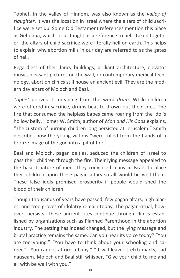Tophet, in the valley of Hinnom, was also known as the *valley of slaughter*. It was the location in Israel where the altars of child sacrifice were set up. Some Old Testament references mention this place as Gehenna, which Jesus taught as a reference to hell. Taken together, the altars of child sacrifice were literally hell on earth. This helps to explain why abortion mills in our day are referred to as the gates of hell.

Regardless of their fancy buildings, brilliant architecture, elevator music, pleasant pictures on the wall, or contemporary medical technology, abortion clinics still house an ancient evil. They are the modern day altars of Moloch and Baal.

*Tophet* derives its meaning from the word *drum*. While children were offered in sacrifice, drums beat to drown out their cries. The fire that consumed the helpless babes came roaring from the idol's hollow belly. Homer W. Smith, author of *Man and His Gods* explains, "The custom of burning children long persisted at Jerusalem." Smith describes how the young victims "were rolled from the hands of a bronze image of the god into a pit of fire."

Baal and Moloch, pagan deities, seduced the children of Israel to pass their children through the fire. Their lying message appealed to the basest nature of men. They convinced many in Israel to place their children upon these pagan altars so all would be well them. These false idols promised prosperity if people would shed the blood of their children.

Though thousands of years have passed, few pagan altars, high places, and tree groves of idolatry remain today. The pagan ritual, however, persists. These ancient rites continue through clinics established by organizations such as Planned Parenthood in the abortion industry. The setting has indeed changed, but the lying message and brutal practice remains the same. Can you hear its voice today? "You are too young." "You have to think about your schooling and career." "You cannot afford a baby." "It will leave stretch marks," ad nauseam. Moloch and Baal still whisper, "Give your child to me and all with be well with you."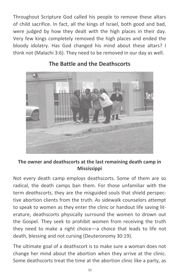Throughout Scripture God called his people to remove these altars of child sacrifice. In fact, all the kings of Israel, both good and bad, were judged by how they dealt with the high places in their day. Very few kings completely removed the high places and ended the bloody idolatry. Has God changed his mind about these altars? I think not (Malachi 3:6). They need to be removed in our day as well.



#### **The Battle and the Deathscorts**

**The owner and deathscorts at the last remaining death camp in Mississippi**

Not every death camp employs deathscorts. Some of them are so radical, the death camps ban them. For those unfamiliar with the term *deathscorts*, they are the misguided souls that shield perspective abortion clients from the truth. As sidewalk counselors attempt to speak to women as they enter the clinic or handout life saving literature, deathscorts physically surround the women to drown out the Gospel. They seek to prohibit women from receiving the truth they need to make a right choice—a choice that leads to life not death, blessing and not cursing (Deuteronomy 30:19).

The ultimate goal of a deathscort is to make sure a woman does not change her mind about the abortion when they arrive at the clinic. Some deathscorts treat the time at the abortion clinic like a party, as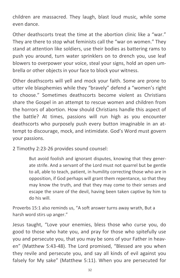children are massacred. They laugh, blast loud music, while some even dance.

Other deathscorts treat the time at the abortion clinic like a "war." They are there to stop what feminists call the "war on women." They stand at attention like soldiers, use their bodies as battering rams to push you around, turn water sprinklers on to drench you, use leaf blowers to overpower your voice, steal your signs, hold an open umbrella or other objects in your face to block your witness.

Other deathscorts will yell and mock your faith. Some are prone to utter vile blasphemies while they "bravely" defend a "women's right to choose." Sometimes deathscorts become violent as Christians share the Gospel in an attempt to rescue women and children from the horrors of abortion. How should Christians handle this aspect of the battle? At times, passions will run high as you encounter deathscorts who purposely push every button imaginable in an attempt to discourage, mock, and intimidate. God's Word must govern your passions.

2 Timothy 2:23-26 provides sound counsel:

But avoid foolish and ignorant disputes, knowing that they generate strife. And a servant of the Lord must not quarrel but be gentle to all, able to teach, patient, in humility correcting those who are in opposition, if God perhaps will grant them repentance, so that they may know the truth, and that they may come to their senses and escape the snare of the devil, having been taken captive by him to do his will.

Proverbs 15:1 also reminds us, "A soft answer turns away wrath, But a harsh word stirs up anger."

Jesus taught, "Love your enemies, bless those who curse you, do good to those who hate you, and pray for those who spitefully use you and persecute you, that you may be sons of your Father in heaven" (Matthew 5:43-48). The Lord promised, "Blessed are you when they revile and persecute you, and say all kinds of evil against you falsely for My sake" (Matthew 5:11). When you are persecuted for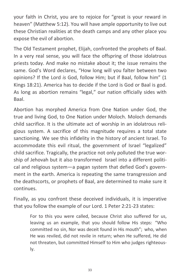your faith in Christ, you are to rejoice for "great is your reward in heaven" (Matthew 5:12). You will have ample opportunity to live out these Christian realities at the death camps and any other place you expose the evil of abortion.

The Old Testament prophet, Elijah, confronted the prophets of Baal. In a very real sense, you will face the offspring of those idolatrous priests today. And make no mistake about it; the issue remains the same. God's Word declares, "How long will you falter between two opinions? If the Lord *is* God, follow Him; but if Baal, follow him" (1 Kings 18:21). America has to decide if the Lord is God or Baal is god. As long as abortion remains "legal," our nation officially sides with Baal.

Abortion has morphed America from One Nation under God, the true and living God, to One Nation under Moloch. Moloch demands child sacrifice. It is the ultimate act of worship in an idolatrous religious system. A sacrifice of this magnitude requires a total state sanctioning. We see this infidelity in the history of ancient Israel. To accommodate this evil ritual, the government of Israel "legalized" child sacrifice. Tragically, the practice not only polluted the true worship of Jehovah but it also transformed Israel into a different political and religious system—a pagan system that defied God's government in the earth. America is repeating the same transgression and the deathscorts, or prophets of Baal, are determined to make sure it continues.

Finally, as you confront these deceived individuals, it is imperative that you follow the example of our Lord. 1 Peter 2:21-23 states:

> For to this you were called, because Christ also suffered for us, leaving us an example, that you should follow His steps: "Who committed no sin, Nor was deceit found in His mouth"; who, when He was reviled, did not revile in return; when He suffered, He did not threaten, but committed Himself to Him who judges righteously.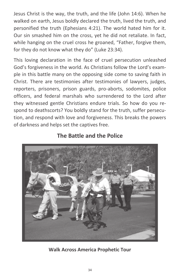Jesus Christ is the way, the truth, and the life (John 14:6). When he walked on earth, Jesus boldly declared the truth, lived the truth, and personified the truth (Ephesians 4:21). The world hated him for it. Our sin smashed him on the cross, yet he did not retaliate. In fact, while hanging on the cruel cross he groaned, "Father, forgive them, for they do not know what they do" (Luke 23:34).

This loving declaration in the face of cruel persecution unleashed God's forgiveness in the world. As Christians follow the Lord's example in this battle many on the opposing side come to saving faith in Christ. There are testimonies after testimonies of lawyers, judges, reporters, prisoners, prison guards, pro-aborts, sodomites, police officers, and federal marshals who surrendered to the Lord after they witnessed gentle Christians endure trials. So how do you respond to deathscorts? You boldly stand for the truth, suffer persecution, and respond with love and forgiveness. This breaks the powers of darkness and helps set the captives free.



#### **The Battle and the Police**

**Walk Across America Prophetic Tour**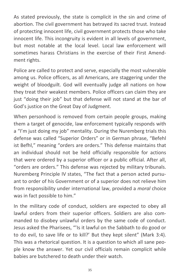As stated previously, the state is complicit in the sin and crime of abortion. The civil government has betrayed its sacred trust. Instead of protecting innocent life, civil government protects those who take innocent life. This incongruity is evident in all levels of government, but most notable at the local level. Local law enforcement will sometimes harass Christians in the exercise of their First Amendment rights.

Police are called to protect and serve, especially the most vulnerable among us. Police officers, as all Americans, are staggering under the weight of bloodguilt. God will eventually judge all nations on how they treat their weakest members. Police officers can claim they are just "doing their job" but that defense will not stand at the bar of God's justice on the Great Day of Judgment.

When personhood is removed from certain people groups, making them a target of genocide, law enforcement typically responds with a "I'm just doing my job" mentality. During the Nuremberg trials this defense was called "Superior Orders" or in German phrase, "Befehl ist Befhl," meaning "orders are orders." This defense maintains that an individual should not be held officially responsible for actions that were ordered by a superior officer or a public official. After all, "orders are orders." This defense was rejected by military tribunals. Nuremberg Principle IV states, "The fact that a person acted pursuant to order of his Government or of a superior does not relieve him from responsibility under international law, provided a *moral* choice was in fact possible to him."

In the military code of conduct, soldiers are expected to obey all lawful orders from their superior officers. Soldiers are also commanded to disobey unlawful orders by the same code of conduct. Jesus asked the Pharisees, "'Is it lawful on the Sabbath to do good or to do evil, to save life or to kill?' But they kept silent" (Mark 3:4). This was a rhetorical question. It is a question to which all sane people know the answer. Yet our civil officials remain complicit while babies are butchered to death under their watch.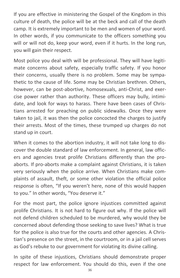If you are effective in ministering the Gospel of the Kingdom in this culture of death, the police will be at the beck and call of the death camp. It is extremely important to be men and women of your word. In other words, if you communicate to the officers something you will or will not do, keep your word, even if it hurts. In the long run, you will gain their respect.

Most police you deal with will be professional. They will have legitimate concerns about safety, especially traffic safety. If you honor their concerns, usually there is no problem. Some may be sympathetic to the cause of life. Some may be Christian brethren. Others, however, can be post-abortive, homosexuals, anti-Christ, and exercise power rather than authority. These officers may bully, intimidate, and look for ways to harass. There have been cases of Christians arrested for preaching on public sidewalks. Once they were taken to jail, it was then the police concocted the charges to justify their arrests. Most of the times, these trumped up charges do not stand up in court.

When it comes to the abortion industry, it will not take long to discover the double standard of law enforcement. In general, law officers and agencies treat prolife Christians differently than the proaborts. If pro-aborts make a complaint against Christians, it is taken very seriously when the police arrive. When Christians make complaints of assault, theft, or some other violation the official police response is often, "If you weren't here, none of this would happen to you." In other words, "You deserve it."

For the most part, the police ignore injustices committed against prolife Christians. It is not hard to figure out why. If the police will not defend children scheduled to be murdered, why would they be concerned about defending those seeking to save lives? What is true for the police is also true for the courts and other agencies. A Christian's presence on the street, in the courtroom, or in a jail cell serves as God's rebuke to our government for violating its divine calling.

In spite of these injustices, Christians should demonstrate proper respect for law enforcement. You should do this, even if the one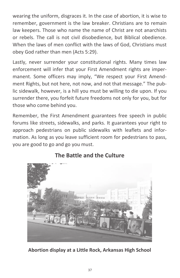wearing the uniform, disgraces it. In the case of abortion, it is wise to remember, government is the law breaker. Christians are to remain law keepers. Those who name the name of Christ are not anarchists or rebels. The call is not civil disobedience, but Biblical obedience. When the laws of men conflict with the laws of God, Christians must obey God rather than men (Acts 5:29).

Lastly, never surrender your constitutional rights. Many times law enforcement will infer that your First Amendment rights are impermanent. Some officers may imply, "We respect your First Amendment Rights, but not here, not now, and not that message." The public sidewalk, however, is a hill you must be willing to die upon. If you surrender there, you forfeit future freedoms not only for you, but for those who come behind you.

Remember, the First Amendment guarantees free speech in public forums like streets, sidewalks, and parks. It guarantees your right to approach pedestrians on public sidewalks with leaflets and information. As long as you leave sufficient room for pedestrians to pass, you are good to go and go you must.





**Abortion display at a Little Rock, Arkansas High School**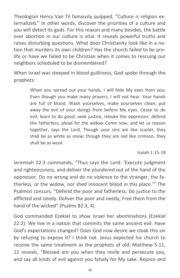Theologian Henry Van Til famously quipped, "Culture is religion externalized." In other words, discover the priorities of a culture and you will detect its gods. For this reason and many besides, the battle over abortion in our culture is vital. It reveals powerful truths and raises disturbing questions. What does Christianity look like in a nation that murders its own children? Has the church failed to be prolife or have we failed to be Christian when it comes to rescuing our neighbors scheduled to be dismembered?

When Israel was steeped in blood guiltiness, God spoke through the prophets:

> When you spread out your hands, I will hide My eyes from you; Even though you make many prayers, I will not hear. Your hands are full of blood. Wash yourselves, make yourselves clean; put away the evil of your doings from before My eyes. Cease to do evil, learn to do good; seek justice, rebuke the oppressor; defend the fatherless, plead for the widow. Come now, and let us reason together, says the Lord, Though your sins are like scarlet, they shall be as white as snow; though they are red like crimson, they shall be as wool.

#### Isaiah 1:15-18

Jeremiah 22:3 commands, "Thus says the Lord: 'Execute judgment and righteousness, and deliver the plundered out of the hand of the oppressor. Do no wrong and do no violence to the stranger, the fatherless, or the widow, nor shed innocent blood in this place.'" The Psalmist concurs, "Defend the poor and fatherless; Do justice to the afflicted and needy. Deliver the poor and needy; Free them from the hand of the wicked" (Psalms 82:3, 4).

God commanded Ezekiel to *show* Israel her abominations (Ezekiel 22:2). We live in a nation that commits the same ancient evil. Have God's expectations changed? Does God now desire we cloak this sin by refusing to expose it? I think not. Jesus expected his church to receive the same treatment as the prophets of old. Matthew 5:11, 12 reveals, "Blessed are you when they revile and persecute you, and say all kinds of evil against you falsely for My sake. Rejoice and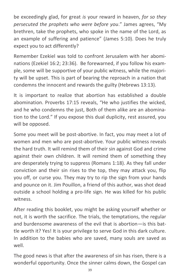be exceedingly glad, for great *is* your reward in heaven, *for so they persecuted the prophets who were before you*." James agrees, "My brethren, take the prophets, who spoke in the name of the Lord, as an example of suffering and patience" (James 5:10). Does he truly expect you to act differently?

Remember Ezekiel was told to confront Jerusalem with her abominations (Ezekiel 16:2; 23:36). Be forewarned, if you follow his example, some will be supportive of your public witness, while the majority will be upset. This is part of bearing the reproach in a nation that condemns the innocent and rewards the guilty (Hebrews 13:13).

It is important to realize that abortion has established a double abomination. Proverbs 17:15 reveals, "He who justifies the wicked, and he who condemns the just, Both of them alike are an abomination to the Lord." If you expose this dual duplicity, rest assured, you will be opposed.

Some you meet will be post-abortive. In fact, you may meet a lot of women and men who are post-abortive. Your public witness reveals the hard truth. It will remind them of their sin against God and crime against their own children. It will remind them of something they are desperately trying to suppress (Romans 1:18). As they fall under conviction and their sin rises to the top, they may attack you, flip you off, or curse you. They may try to rip the sign from your hands and pounce on it. Jim Pouillon, a friend of this author, was shot dead outside a school holding a pro-life sign. He was killed for his public witness.

After reading this booklet, you might be asking yourself whether or not, it is worth the sacrifice. The trials, the temptations, the regular and burdensome awareness of the evil that is abortion—is this battle worth it? Yes! It is your privilege to serve God in this dark culture. In addition to the babies who are saved, many souls are saved as well.

The good news is that after the awareness of sin has risen, there is a wonderful opportunity. Once the sinner calms down, the Gospel can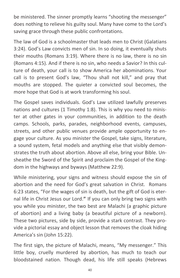be ministered. The sinner promptly learns "shooting the messenger" does nothing to relieve his guilty soul. Many have come to the Lord's saving grace through these public confrontations.

The law of God is a schoolmaster that leads men to Christ (Galatians 3:24). God's Law convicts men of sin. In so doing, it eventually shuts their mouths (Romans 3:19). Where there is no law, there is no sin (Romans 4:15). And if there is no sin, who needs a Savior? In this culture of death, your call is to show America her abominations. Your call is to present God's law, "Thou shall not kill," and pray that mouths are stopped. The quieter a convicted soul becomes, the more hope that God is at work transforming his soul.

The Gospel saves individuals. God's Law utilized lawfully preserves nations and cultures (1 Timothy 1:8). This is why you need to minister at other gates in your communities, in addition to the death camps. Schools, parks, parades, neighborhood events, campuses, streets, and other public venues provide ample opportunity to engage your culture. As you minister the Gospel, take signs, literature, a sound system, fetal models and anything else that visibly demonstrates the truth about abortion. Above all else, bring your Bible. Unsheathe the Sword of the Spirit and proclaim the Gospel of the Kingdom in the highways and byways (Matthew 22:9).

While ministering, your signs and witness should expose the sin of abortion and the need for God's great salvation in Christ. Romans 6:23 states, "For the wages of sin is death, but the gift of God is eternal life in Christ Jesus our Lord.**"** If you can only bring two signs with you while you minister, the two best are Malachi (a graphic picture of abortion) and a living baby (a beautiful picture of a newborn). These two pictures, side by side, provide a stark contrast. They provide a pictorial essay and object lesson that removes the cloak hiding America's sin (John 15:22).

The first sign, the picture of Malachi, means, "My messenger." This little boy, cruelly murdered by abortion, has much to teach our bloodstained nation. Though dead, his life still speaks (Hebrews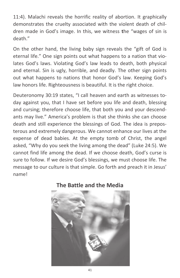11:4). Malachi reveals the horrific reality of abortion. It graphically demonstrates the cruelty associated with the violent death of children made in God's image. In this, we witness **t**he "wages of sin is death."

On the other hand, the living baby sign reveals the "gift of God is eternal life." One sign points out what happens to a nation that violates God's laws. Violating God's law leads to death, both physical and eternal. Sin is ugly, horrible, and deadly. The other sign points out what happens to nations that honor God's law. Keeping God's law honors life. Righteousness is beautiful. It is the right choice.

Deuteronomy 30:19 states, "I call heaven and earth as witnesses today against you, that I have set before you life and death, blessing and cursing; therefore choose life, that both you and your descendants may live." America's problem is that she thinks she can choose death and still experience the blessings of God. The idea is preposterous and extremely dangerous. We cannot enhance our lives at the expense of dead babies. At the empty tomb of Christ, the angel asked, "Why do you seek the living among the dead" (Luke 24:5). We cannot find life among the dead. If we choose death, God's curse is sure to follow. If we desire God's blessings, we must choose life. The message to our culture is that simple. Go forth and preach it in Jesus' name!



### **The Battle and the Media**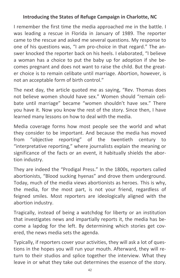#### **Introducing the States of Refuge Campaign in Charlotte, NC**

I remember the first time the media approached me in the battle. I was leading a rescue in Florida in January of 1989. The reporter came to the rescue and asked me several questions. My response to one of his questions was, "I am pro-choice in that regard." The answer knocked the reporter back on his heels. I elaborated, "I believe a woman has a choice to put the baby up for adoption if she becomes pregnant and does not want to raise the child. But the greater choice is to remain celibate until marriage. Abortion, however, is not an acceptable form of birth control."

The next day, the article quoted me as saying, "Rev. Thomas does not believe women should have sex." Women should "remain celibate until marriage" became "women shouldn't have sex." There you have it. Now you know the rest of the story. Since then, I have learned many lessons on how to deal with the media.

Media coverage forms how most people see the world and what they consider to be important. And because the media has moved from "objective reporting" of the twentieth century to "interpretative reporting," where journalists explain the meaning or significance of the facts or an event, it habitually shields the abortion industry.

They are indeed the "Prodigal Press." In the 1800s, reporters called abortionists, "Blood sucking hyenas" and drove them underground. Today, much of the media views abortionists as heroes. This is why, the media, for the most part, is not your friend, regardless of feigned smiles. Most reporters are ideologically aligned with the abortion industry.

Tragically, instead of being a watchdog for liberty or an institution that investigates news and impartially reports it, the media has become a lapdog for the left. By determining which stories get covered, the news media sets the agenda.

Typically, if reporters cover your activities, they will ask a lot of questions in the hopes you will run your mouth. Afterward, they will return to their studios and splice together the interview. What they leave in or what they take out determines the essence of the story.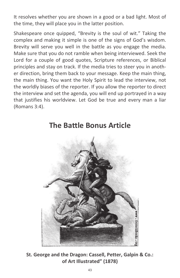It resolves whether you are shown in a good or a bad light. Most of the time, they will place you in the latter position.

Shakespeare once quipped, "Brevity is the soul of wit." Taking the complex and making it simple is one of the signs of God's wisdom. Brevity will serve you well in the battle as you engage the media. Make sure that you do not ramble when being interviewed. Seek the Lord for a couple of good quotes, Scripture references, or Biblical principles and stay on track. If the media tries to steer you in another direction, bring them back to your message. Keep the main thing, the main thing. You want the Holy Spirit to lead the interview, not the worldly biases of the reporter. If you allow the reporter to direct the interview and set the agenda, you will end up portrayed in a way that justifies his worldview. Let God be true and every man a liar (Romans 3:4).



## **The Battle Bonus Article**

**St. George and the Dragon: Cassell, Petter, Galpin & Co.: of Art Illustrated" (1878)**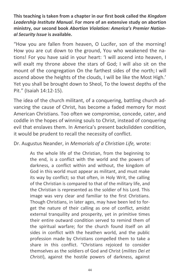**This teaching is taken from a chapter in our first book called the** *Kingdom Leadership Institute Manual***. For more of an extensive study on abortion ministry, our second book** *Abortion Violation: America's Premier National Security Issue* **is available.**

"How you are fallen from heaven, O Lucifer, son of the morning! How you are cut down to the ground, You who weakened the nations! For you have said in your heart: 'I will ascend into heaven, I will exalt my throne above the stars of God; I will also sit on the mount of the congregation On the farthest sides of the north; I will ascend above the heights of the clouds, I will be like the Most High.' Yet you shall be brought down to Sheol, To the lowest depths of the Pit." (Isaiah 14:12-15).

The idea of the church militant, of a conquering, battling church advancing the cause of Christ, has become a faded memory for most American Christians. Too often we compromise, concede, cater, and coddle in the hopes of winning souls to Christ, instead of conquering evil that enslaves them. In America's present backslidden condition, it would be prudent to recall the necessity of conflict.

#### Dr. Augustus Neander, in *Memorials of a Christian Life,* wrote:

As the whole life of the Christian, from the beginning to the end, is a conflict with the world and the powers of darkness, a conflict within and without, the kingdom of God in this world must appear as militant, and must make its way by conflict; so that often, in Holy Writ, the calling of the Christian is compared to that of the military life, and the Christian is represented as the soldier of his Lord. This image was very clear and familiar to the first Christians. Though Christians, in later ages, may have been led to forget the nature of their calling as one of conflict, amidst external tranquility and prosperity, yet in primitive times their entire outward condition served to remind them of the spiritual warfare; for the church found itself on all sides in conflict with the heathen world, and the public profession made by Christians compelled them to take a share in this conflict. "Christians rejoiced to consider themselves as the soldiers of God and Christ (*milites Dei et Christi*), against the hostile powers of darkness, against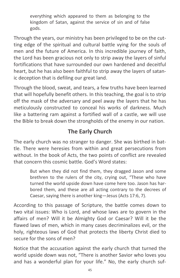everything which appeared to them as belonging to the kingdom of Satan, against the service of sin and of false gods.

Through the years, our ministry has been privileged to be on the cutting edge of the spiritual and cultural battle vying for the souls of men and the future of America. In this incredible journey of faith, the Lord has been gracious not only to strip away the layers of sinful fortifications that have surrounded our own hardened and deceitful heart, but he has also been faithful to strip away the layers of satanic deception that is defiling our great land.

Through the blood, sweat, and tears, a few truths have been learned that will hopefully benefit others. In this teaching, the goal is to strip off the mask of the adversary and peel away the layers that he has meticulously constructed to conceal his works of darkness. Much like a battering ram against a fortified wall of a castle, we will use the Bible to break down the strongholds of the enemy in our nation.

## **The Early Church**

The early church was no stranger to danger. She was birthed in battle. There were heresies from within and great persecutions from without. In the book of Acts, the two points of conflict are revealed that concern this cosmic battle. God's Word states:

> But when they did not find them, they dragged Jason and some brethren to the rulers of the city, crying out, "These who have turned the world upside down have come here too. Jason has harbored them, and these are all acting contrary to the decrees of Caesar, saying there is another king—Jesus (Acts 17:6, 7).

According to this passage of Scripture, the battle comes down to two vital issues: Who is Lord, and whose laws are to govern in the affairs of men? Will it be Almighty God or Caesar? Will it be the flawed laws of men, which in many cases decriminalizes evil, or the holy, righteous laws of God that protects the liberty Christ died to secure for the sons of men?

Notice that the accusation against the early church that turned the world upside down was not, "There is another Savior who loves you and has a wonderful plan for your life." No, the early church suf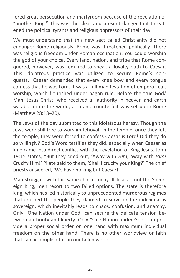fered great persecution and martyrdom because of the revelation of "another King." This was the clear and present danger that threatened the political tyrants and religious oppressors of their day.

We must understand that this new sect called Christianity did not endanger Rome religiously. Rome was threatened politically. There was religious freedom under Roman occupation. You could worship the god of your choice. Every land, nation, and tribe that Rome conquered, however, was required to speak a loyalty oath to Caesar. This idolatrous practice was utilized to secure Rome's conquests. Caesar demanded that every knee bow and every tongue confess that he was Lord. It was a full manifestation of emperor-cult worship, which flourished under pagan rule. Before the true God/ Man, Jesus Christ, who received all authority in heaven and earth was born into the world, a satanic counterfeit was set up in Rome (Matthew 28:18–20).

The Jews of the day submitted to this idolatrous heresy. Though the Jews were still free to worship Jehovah in the temple, once they left the temple, they were forced to confess Caesar is Lord! Did they do so willingly? God's Word testifies they did, especially when Caesar as king came into direct conflict with the revelation of King Jesus. John 19:15 states, "But they cried out, 'Away with *Him,* away with *Him!* Crucify Him!' Pilate said to them, 'Shall I crucify your King?' The chief priests answered, 'We have no king but Caesar!'"

Man struggles with this same choice today. If Jesus is not the Sovereign King, men resort to two failed options. The state is therefore king, which has led historically to unprecedented murderous regimes that crushed the people they claimed to serve or the individual is sovereign, which inevitably leads to chaos, confusion, and anarchy. Only "One Nation under God" can secure the delicate tension between authority and liberty. Only "One Nation under God" can provide a proper social order on one hand with maximum individual freedom on the other hand. There is no other worldview or faith that can accomplish this in our fallen world.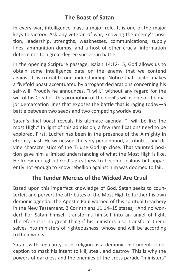## **The Boast of Satan**

In every war, intelligence plays a major role. It is one of the major keys to victory. Ask any veteran of war, knowing the enemy's position, leadership, strengths, weaknesses, communications, supply lines, ammunition dumps, and a host of other crucial information determines to a great degree success in battle.

In the opening Scripture passage, Isaiah 14:12-15, God allows us to obtain some intelligence data on the enemy that we contend against. It is crucial to our understanding. Notice that Lucifer makes a fivefold boast accentuated by arrogant declarations concerning his self-will. Proudly he announces, "I will," without any regard for the will of his Creator. This promotion of the devil's will is one of the major demarcation lines that exposes the battle that is raging today—a battle between two seeds and two competing worldviews.

Satan's final boast reveals his ultimate agenda, "I will be like the most High." In light of this admission, a few ramifications need to be explored. First, Lucifer has been in the presence of the Almighty in eternity past. He witnessed the very personhood, attributes, and divine characteristics of the Triune God up close. That vaunted position gave him a limited understanding of what the Most High is like. He knew enough of God's greatness to become jealous but apparently not enough to know rebellion against him was doomed to fail.

### **The Tender Mercies of the Wicked Are Cruel**

Based upon this imperfect knowledge of God, Satan seeks to counterfeit and pervert the attributes of the Most High to further his own demonic agenda. The Apostle Paul warned of this spiritual treachery in the New Testament. 2 Corinthians 11:14–15 states, "And no wonder! For Satan himself transforms himself into an angel of light. Therefore it is no great thing if his ministers also transform themselves into ministers of righteousness, whose end will be according to their works."

Satan, with regularity, uses religion as a demonic instrument of deception to mask his intent to kill, steal, and destroy. This is why the powers of darkness and the enemies of the cross parade "ministers"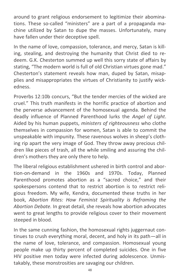around to grant religious endorsement to legitimize their abominations. These so-called "ministers" are a part of a propaganda machine utilized by Satan to dupe the masses. Unfortunately, many have fallen under their deceptive spell.

In the name of love, compassion, tolerance, and mercy, Satan is killing, stealing, and destroying the humanity that Christ died to redeem. G.K. Chesterton summed up well this sorry state of affairs by stating, "The modern world is full of old Christian virtues gone mad." Chesterton's statement reveals how man, duped by Satan, misapplies and misappropriates the virtues of Christianity to justify wickedness.

Proverbs 12:10b concurs, "But the tender mercies of the wicked are cruel." This truth manifests in the horrific practice of abortion and the perverse advancement of the homosexual agenda. Behind the deadly influence of Planned Parenthood lurks the *Angel of Light*. Aided by his human puppets, *ministers of righteousness* who clothe themselves in compassion for women, Satan is able to commit the unspeakable with impunity. These ravenous wolves in sheep's clothing rip apart the very image of God. They throw away precious children like pieces of trash, all the while smiling and assuring the children's mothers they are only there to help.

The liberal religious establishment ushered in birth control and abortion-on-demand in the 1960s and 1970s. Today, Planned Parenthood promotes abortion as a "sacred choice," and their spokespersons contend that to restrict abortion is to restrict religious freedom. My wife, Kendra, documented these truths in her book, *Abortion Rites: How Feminist Spirituality is Reframing the Abortion Debate.* In great detail, she reveals how abortion advocates went to great lengths to provide religious cover to their movement steeped in blood.

In the same cunning fashion, the homosexual rights juggernaut continues to crush everything moral, decent, and holy in its path—all in the name of love, tolerance, and compassion. Homosexual young people make up thirty percent of completed suicides. One in five HIV positive men today were infected during adolescence. Unmistakably, these monstrosities are savaging our children.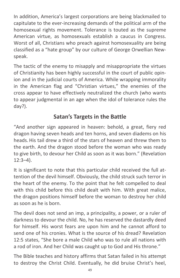In addition, America's largest corporations are being blackmailed to capitulate to the ever-increasing demands of the political arm of the homosexual rights movement. Tolerance is touted as the supreme American virtue, as homosexuals establish a caucus in Congress. Worst of all, Christians who preach against homosexuality are being classified as a "hate group" by our culture of George Orwellian Newspeak.

The tactic of the enemy to misapply and misappropriate the virtues of Christianity has been highly successful in the court of public opinion and in the judicial courts of America. While wrapping immorality in the American flag and "Christian virtues," the enemies of the cross appear to have effectively neutralized the church (who wants to appear judgmental in an age when the idol of tolerance rules the day?).

## **Satan's Targets in the Battle**

"And another sign appeared in heaven: behold, a great, fiery red dragon having seven heads and ten horns, and seven diadems on his heads.His tail drew a third of the stars of heaven and threw them to the earth. And the dragon stood before the woman who was ready to give birth, to devour her Child as soon as it was born." (Revelation 12:3–4).

It is significant to note that this particular child received the full attention of the devil himself. Obviously, the child struck such terror in the heart of the enemy. To the point that he felt compelled to deal with this child before this child dealt with him. With great malice, the dragon positions himself before the woman to destroy her child as soon as he is born.

The devil does not send an imp, a principality, a power, or a ruler of darkness to devour the child. No, he has reserved the dastardly deed for himself. His worst fears are upon him and he cannot afford to send one of his cronies. What is the source of his dread? Revelation 12:5 states, "She bore a male Child who was to rule all nations with a rod of iron. And her Child was caught up to God and His throne."

The Bible teaches and history affirms that Satan failed in his attempt to destroy the Christ Child. Eventually, he did bruise Christ's heel,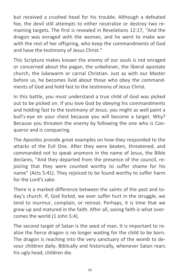but received a crushed head for his trouble. Although a defeated foe, the devil still attempts to either neutralize or destroy two remaining targets. The first is revealed in Revelations 12:17, "And the dragon was enraged with the woman, and he went to make war with the rest of her offspring, who keep the commandments of God and have the testimony of Jesus Christ."

This Scripture makes known the enemy of our souls is not enraged or concerned about the pagan, the unbeliever, the liberal apostate church, the lukewarm or carnal Christian. Just as with our Master before us, he becomes livid about those who obey the commandments of God and hold fast to the testimony of Jesus Christ.

In this battle, you must understand a true child of God was picked out to be picked on. If you love God by obeying his commandments and holding fast to the testimony of Jesus, you might as well paint a bull's-eye on your chest because you will become a target. Why? Because you threaten the enemy by following the one who is Conqueror and is conquering.

The Apostles provide great examples on how they responded to the attacks of the Evil One. After they were beaten, threatened, and commanded not to speak anymore in the name of Jesus, the Bible declares, "And they departed from the presence of the council, rejoicing that they were counted worthy to suffer shame for his name" (Acts 5:41). They rejoiced to be found worthy to suffer harm for the Lord's sake.

There is a marked difference between the saints of the past and today's church. If, God forbid, we ever suffer hurt in the struggle, we tend to murmur, complain, or retreat. Perhaps, it is time that we grew up and matured in the faith. After all, saving faith is what overcomes the world (1 John 5:4).

The second target of Satan is the seed of man. It is important to realize the fierce dragon is no longer waiting for the child to be born. The dragon is reaching into the very sanctuary of the womb to devour children daily. Biblically and historically, whenever Satan rears his ugly head, children die.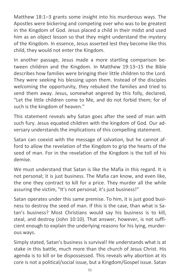Matthew 18:1–3 grants some insight into his murderous ways. The Apostles were bickering and competing over who was to be greatest in the Kingdom of God. Jesus placed a child in their midst and used him as an object lesson so that they might understand the mystery of the Kingdom. In essence, Jesus asserted lest they become like this child, they would not enter the Kingdom.

In another passage, Jesus made a more startling comparison between children and the Kingdom. In Matthew 19:13–15 the Bible describes how families were bringing their little children to the Lord. They were seeking his blessing upon them. Instead of the disciples welcoming the opportunity, they rebuked the families and tried to send them away. Jesus, somewhat angered by this folly, declared, "Let the little children come to Me, and do not forbid them; for of such is the kingdom of heaven."

This statement reveals why Satan goes after the seed of man with such fury. Jesus equated children with the kingdom of God. Our adversary understands the implications of this compelling statement.

Satan can coexist with the message of salvation, but he cannot afford to allow the revelation of the Kingdom to grip the hearts of the seed of man. For in the revelation of the Kingdom is the toll of his demise.

We must understand that Satan is like the Mafia in this regard. It is not personal; it is just business. The Mafia can know, and even like, the one they contract to kill for a price. They murder all the while assuring the victim, "It's not personal; it's just business!"

Satan operates under this same premise. To him, it is just good business to destroy the seed of man. If this is the case, than what is Satan's business? Most Christians would say his business is to kill, steal, and destroy (John 10:10). That answer, however, is not sufficient enough to explain the underlying reasons for his lying, murderous ways.

Simply stated, Satan's business is survival! He understands what is at stake in this battle, much more than the church of Jesus Christ. His agenda is to kill or be dispossessed*.* This reveals why abortion at its core is not a political/social issue, but a Kingdom/Gospel issue. Satan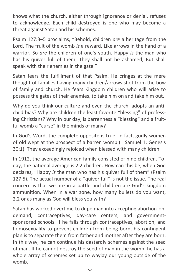knows what the church, either through ignorance or denial, refuses to acknowledge. Each child destroyed is one who may become a threat against Satan and his schemes.

Psalm 127:3–5 proclaims, "Behold, children *are* a heritage from the Lord, The fruit of the womb *is* a reward. Like arrows in the hand of a warrior, So *are* the children of one's youth. Happy *is* the man who has his quiver full of them; They shall not be ashamed, But shall speak with their enemies in the gate."

Satan fears the fulfillment of that Psalm. He cringes at the mere thought of families having many children/arrows shot from the bow of family and church. He fears Kingdom children who will arise to possess the gates of their enemies, to take him on and take him out.

Why do you think our culture and even the church, adopts an antichild bias? Why are children the least favorite "blessing" of professing Christians? Why in our day, is barrenness a "blessing" and a fruitful womb a "curse" in the minds of many?

In God's Word, the complete opposite is true. In fact, godly women of old wept at the prospect of a barren womb (1 Samuel 1; Genesis 30:1). They exceedingly rejoiced when blessed with many children.

In 1912, the average American family consisted of nine children. Today, the national average is 2.2 children. How can this be, when God declares, "Happy *is* the man who has his quiver full of them" (Psalm 127:5). The actual number of a "quiver full" is not the issue. The real concern is that we are in a battle and children are God's kingdom ammunition. When in a war zone, how many bullets do you want, 2.2 or as many as God will bless you with?

Satan has worked overtime to dupe man into accepting abortion-ondemand, contraceptives, day-care centers, and governmentsponsored schools. If he fails through contraceptives, abortion, and homosexuality to prevent children from being born, his contingent plan is to separate them from father and mother after they are born. In this way, he can continue his dastardly schemes against the seed of man. If he cannot destroy the seed of man in the womb, he has a whole array of schemes set up to waylay our young outside of the womb.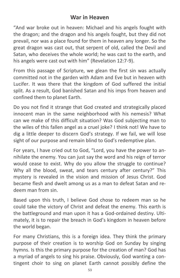### **War in Heaven**

"And war broke out in heaven: Michael and his angels fought with the dragon; and the dragon and his angels fought, but they did not prevail, nor was a place found for them in heaven any longer. So the great dragon was cast out, that serpent of old, called the Devil and Satan, who deceives the whole world; he was cast to the earth, and his angels were cast out with him" (Revelation 12:7-9).

From this passage of Scripture, we glean the first sin was actually committed not in the garden with Adam and Eve but in heaven with Lucifer. It was there that the kingdom of God suffered the initial split. As a result, God banished Satan and his imps from heaven and confined them to planet Earth.

Do you not find it strange that God created and strategically placed innocent man in the same neighborhood with his nemesis? What can we make of this difficult situation? Was God subjecting man to the wiles of this fallen angel as a cruel joke? I think not! We have to dig a little deeper to discern God's strategy. If we fail, we will lose sight of our purpose and remain blind to God's redemptive plan.

For years, I have cried out to God, "Lord, you have the power to annihilate the enemy. You can just say the word and his reign of terror would cease to exist. Why do you allow the struggle to continue? Why all the blood, sweat, and tears century after century?" This mystery is revealed in the vision and mission of Jesus Christ. God became flesh and dwelt among us as a man to defeat Satan and redeem man from sin.

Based upon this truth, I believe God chose to redeem man so he could take the victory of Christ and defeat the enemy. This earth is the battleground and man upon it has a God-ordained destiny. Ultimately, it is to repair the breach in God's kingdom in heaven before the world began.

For many Christians, this is a foreign idea. They think the primary purpose of their creation is to worship God on Sunday by singing hymns. Is this the primary purpose for the creation of man? God has a myriad of angels to sing his praise. Obviously, God wanting a contingent choir to sing on planet Earth cannot possibly define the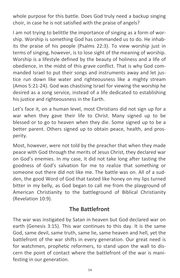whole purpose for this battle. Does God truly need a backup singing choir, in case he is not satisfied with the praise of angels?

I am not trying to belittle the importance of singing as a form of worship. Worship is something God has commanded us to do. He inhabits the praise of his people (Psalms 22:3). To view worship just in terms of singing, however, is to lose sight of the meaning of worship. Worship is a lifestyle defined by the beauty of holiness and a life of obedience, in the midst of this grave conflict. That is why God commanded Israel to put their songs and instruments away and let justice run down like water and righteousness like a mighty stream (Amos 5:21-24). God was chastising Israel for viewing the worship he desired as a song service, instead of a life dedicated to establishing his justice and righteousness in the Earth.

Let's face it, on a human level, most Christians did not sign up for a war when they gave their life to Christ. Many signed up to be blessed or to go to heaven when they die. Some signed up to be a better parent. Others signed up to obtain peace, health, and prosperity.

Most, however, were not told by the preacher that when they made peace with God through the merits of Jesus Christ, they declared war on God's enemies. In my case, it did not take long after tasting the goodness of God's salvation for me to realize that something or someone out there did not like me. The battle was on. All of a sudden, the good Word of God that tasted like honey on my lips turned bitter in my belly, as God began to call me from the playground of American Christianity to the battleground of Biblical Christianity (Revelation 10:9).

#### **The Battlefront**

The war was instigated by Satan in heaven but God declared war on earth (Genesis 3:15). This war continues to this day. It is the same God, same devil, same truth, same lie, same heaven and hell, yet the battlefront of the war shifts in every generation. Our great need is for watchmen, prophetic reformers, to stand upon the wall to discern the point of contact where the battlefront of the war is manifesting in our generation.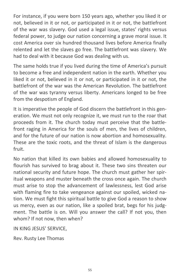For instance, if you were born 150 years ago, whether you liked it or not, believed in it or not, or participated in it or not, the battlefront of the war was slavery. God used a legal issue, states' rights versus federal power, to judge our nation concerning a grave moral issue. It cost America over six hundred thousand lives before America finally relented and let the slaves go free. The battlefront was slavery. We had to deal with it because God was dealing with us.

The same holds true if you lived during the time of America's pursuit to become a free and independent nation in the earth. Whether you liked it or not, believed in it or not, or participated in it or not, the battlefront of the war was the American Revolution. The battlefront of the war was tyranny versus liberty. Americans longed to be free from the despotism of England.

It is imperative the people of God discern the battlefront in this generation. We must not only recognize it, we must run to the roar that proceeds from it. The church today must perceive that the battlefront raging in America for the souls of men, the lives of children, and for the future of our nation is now abortion and homosexuality. These are the toxic roots, and the threat of Islam is the dangerous fruit.

No nation that killed its own babies and allowed homosexuality to flourish has survived to brag about it. These two sins threaten our national security and future hope. The church must gather her spiritual weapons and muster beneath the cross once again. The church must arise to stop the advancement of lawlessness, lest God arise with flaming fire to take vengeance against our spoiled, wicked nation. We must fight this spiritual battle to give God a reason to show us mercy, even as our nation, like a spoiled brat, begs for his judgment. The battle is on. Will you answer the call? If not you, then whom? If not now, then when?

IN KING JESUS' SERVICE,

Rev. Rusty Lee Thomas